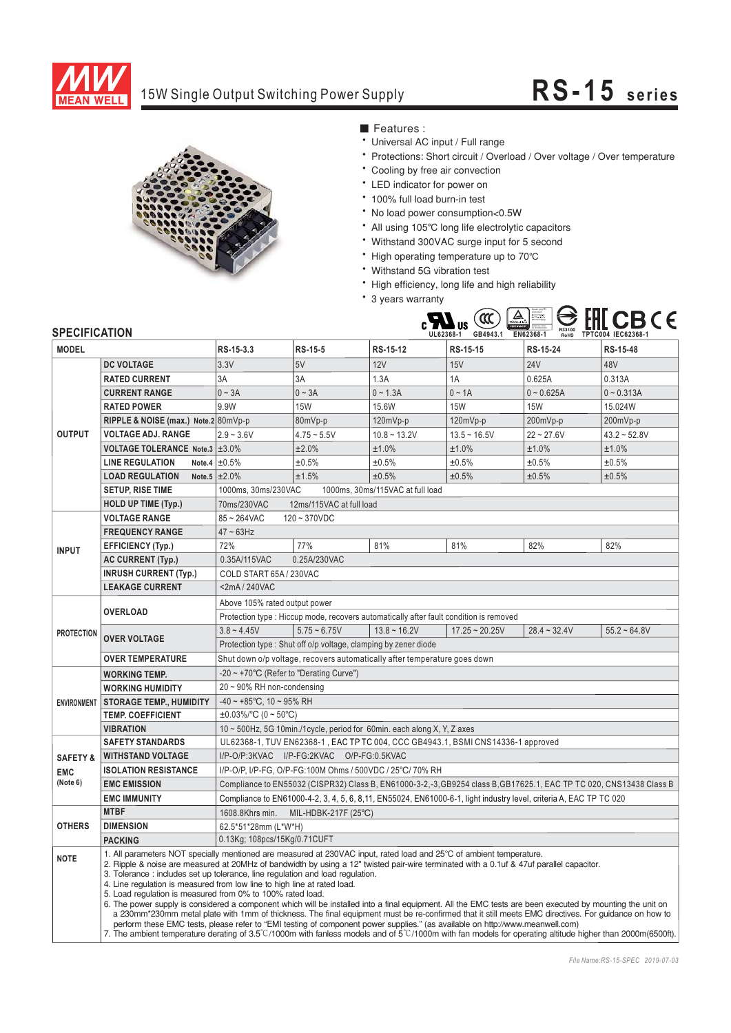

## 15W Single Output Switching Power Supply **RS-15 series**



■ Features :

- \* Universal AC input / Full range
- Protections: Short circuit / Overload / Over voltage / Over temperature
- \* Cooling by free air convection
- LED indicator for power on
- 100% full load burn-in test
- \* No load power consumption<0.5W
- All using 105℃ long life electrolytic capacitors
- Withstand 300VAC surge input for 5 second
- the contract of the congomponent of the contract of the congomponent of the contract of the contract of the contract of the contract of the contract of the contract of the contract of the contract of the contract of the c
- Withstand 5G vibration test
- \* High efficiency, long life and high reliability
- \* 3 years warranty



| <b>MODEL</b>        |                                                                                                                                                                                                                                                                                                                                                                                                                                                                                                                                                                                                                                                                                                                                                                                                                                                                                                                                                  | RS-15-3.3                                                                                                           | <b>RS-15-5</b>                                                 | RS-15-12       | RS-15-15         | RS-15-24       | RS-15-48          |
|---------------------|--------------------------------------------------------------------------------------------------------------------------------------------------------------------------------------------------------------------------------------------------------------------------------------------------------------------------------------------------------------------------------------------------------------------------------------------------------------------------------------------------------------------------------------------------------------------------------------------------------------------------------------------------------------------------------------------------------------------------------------------------------------------------------------------------------------------------------------------------------------------------------------------------------------------------------------------------|---------------------------------------------------------------------------------------------------------------------|----------------------------------------------------------------|----------------|------------------|----------------|-------------------|
| <b>OUTPUT</b>       | <b>DC VOLTAGE</b>                                                                                                                                                                                                                                                                                                                                                                                                                                                                                                                                                                                                                                                                                                                                                                                                                                                                                                                                | 3.3V                                                                                                                | 5V                                                             | 12V            | 15V              | <b>24V</b>     | 48V               |
|                     | <b>RATED CURRENT</b>                                                                                                                                                                                                                                                                                                                                                                                                                                                                                                                                                                                                                                                                                                                                                                                                                                                                                                                             | 3A                                                                                                                  | 3A                                                             | 1.3A           | 1A               | 0.625A         | 0.313A            |
|                     | <b>CURRENT RANGE</b>                                                                                                                                                                                                                                                                                                                                                                                                                                                                                                                                                                                                                                                                                                                                                                                                                                                                                                                             | $0 - 3A$                                                                                                            | $0 - 3A$                                                       | $0 - 1.3A$     | $0 \sim 1A$      | $0 - 0.625A$   | $0 - 0.313A$      |
|                     | <b>RATED POWER</b>                                                                                                                                                                                                                                                                                                                                                                                                                                                                                                                                                                                                                                                                                                                                                                                                                                                                                                                               | 9.9W                                                                                                                | <b>15W</b>                                                     | 15.6W          | <b>15W</b>       | <b>15W</b>     | 15.024W           |
|                     | RIPPLE & NOISE (max.) Note.2 80mVp-p                                                                                                                                                                                                                                                                                                                                                                                                                                                                                                                                                                                                                                                                                                                                                                                                                                                                                                             |                                                                                                                     | 80mVp-p                                                        | 120mVp-p       | 120mVp-p         | 200mVp-p       | 200mVp-p          |
|                     | <b>VOLTAGE ADJ. RANGE</b>                                                                                                                                                                                                                                                                                                                                                                                                                                                                                                                                                                                                                                                                                                                                                                                                                                                                                                                        | $2.9 - 3.6V$                                                                                                        | $4.75 - 5.5V$                                                  | $10.8 - 13.2V$ | $13.5 - 16.5V$   | $22 - 27.6V$   | $43.2 - 52.8V$    |
|                     | VOLTAGE TOLERANCE Note.3 ±3.0%                                                                                                                                                                                                                                                                                                                                                                                                                                                                                                                                                                                                                                                                                                                                                                                                                                                                                                                   |                                                                                                                     | ±2.0%                                                          | ±1.0%          | ±1.0%            | ±1.0%          | ±1.0%             |
|                     | <b>LINE REGULATION</b>                                                                                                                                                                                                                                                                                                                                                                                                                                                                                                                                                                                                                                                                                                                                                                                                                                                                                                                           | Note.4 $\pm 0.5\%$                                                                                                  | ±0.5%                                                          | ±0.5%          | ±0.5%            | ±0.5%          | ±0.5%             |
|                     | <b>LOAD REGULATION</b>                                                                                                                                                                                                                                                                                                                                                                                                                                                                                                                                                                                                                                                                                                                                                                                                                                                                                                                           | Note.5 $\pm 2.0\%$                                                                                                  | ±1.5%                                                          | ±0.5%          | ±0.5%            | ±0.5%          | ±0.5%             |
|                     | <b>SETUP, RISE TIME</b>                                                                                                                                                                                                                                                                                                                                                                                                                                                                                                                                                                                                                                                                                                                                                                                                                                                                                                                          | 1000ms, 30ms/230VAC<br>1000ms, 30ms/115VAC at full load                                                             |                                                                |                |                  |                |                   |
|                     | <b>HOLD UP TIME (Typ.)</b>                                                                                                                                                                                                                                                                                                                                                                                                                                                                                                                                                                                                                                                                                                                                                                                                                                                                                                                       | 70ms/230VAC<br>12ms/115VAC at full load                                                                             |                                                                |                |                  |                |                   |
|                     | <b>VOLTAGE RANGE</b>                                                                                                                                                                                                                                                                                                                                                                                                                                                                                                                                                                                                                                                                                                                                                                                                                                                                                                                             | $85 - 264$ VAC<br>$120 - 370 VDC$                                                                                   |                                                                |                |                  |                |                   |
| <b>INPUT</b>        | <b>FREQUENCY RANGE</b>                                                                                                                                                                                                                                                                                                                                                                                                                                                                                                                                                                                                                                                                                                                                                                                                                                                                                                                           | $47 \sim 63$ Hz                                                                                                     |                                                                |                |                  |                |                   |
|                     | <b>EFFICIENCY (Typ.)</b>                                                                                                                                                                                                                                                                                                                                                                                                                                                                                                                                                                                                                                                                                                                                                                                                                                                                                                                         | 72%                                                                                                                 | 77%                                                            | 81%            | 81%              | 82%            | 82%               |
|                     | <b>AC CURRENT (Typ.)</b>                                                                                                                                                                                                                                                                                                                                                                                                                                                                                                                                                                                                                                                                                                                                                                                                                                                                                                                         | 0.35A/115VAC<br>0.25A/230VAC                                                                                        |                                                                |                |                  |                |                   |
|                     | <b>INRUSH CURRENT (Typ.)</b>                                                                                                                                                                                                                                                                                                                                                                                                                                                                                                                                                                                                                                                                                                                                                                                                                                                                                                                     | COLD START 65A / 230VAC                                                                                             |                                                                |                |                  |                |                   |
|                     | <b>LEAKAGE CURRENT</b>                                                                                                                                                                                                                                                                                                                                                                                                                                                                                                                                                                                                                                                                                                                                                                                                                                                                                                                           | <2mA/240VAC                                                                                                         |                                                                |                |                  |                |                   |
| <b>PROTECTION</b>   | <b>OVERLOAD</b>                                                                                                                                                                                                                                                                                                                                                                                                                                                                                                                                                                                                                                                                                                                                                                                                                                                                                                                                  | Above 105% rated output power                                                                                       |                                                                |                |                  |                |                   |
|                     |                                                                                                                                                                                                                                                                                                                                                                                                                                                                                                                                                                                                                                                                                                                                                                                                                                                                                                                                                  | Protection type : Hiccup mode, recovers automatically after fault condition is removed                              |                                                                |                |                  |                |                   |
|                     | <b>OVER VOLTAGE</b>                                                                                                                                                                                                                                                                                                                                                                                                                                                                                                                                                                                                                                                                                                                                                                                                                                                                                                                              | $3.8 - 4.45V$                                                                                                       | $5.75 - 6.75V$                                                 | $13.8 - 16.2V$ | $17.25 - 20.25V$ | $28.4 - 32.4V$ | $55.2 \div 64.8V$ |
|                     |                                                                                                                                                                                                                                                                                                                                                                                                                                                                                                                                                                                                                                                                                                                                                                                                                                                                                                                                                  |                                                                                                                     | Protection type: Shut off o/p voltage, clamping by zener diode |                |                  |                |                   |
|                     | <b>OVER TEMPERATURE</b>                                                                                                                                                                                                                                                                                                                                                                                                                                                                                                                                                                                                                                                                                                                                                                                                                                                                                                                          | Shut down o/p voltage, recovers automatically after temperature goes down                                           |                                                                |                |                  |                |                   |
|                     | <b>WORKING TEMP.</b>                                                                                                                                                                                                                                                                                                                                                                                                                                                                                                                                                                                                                                                                                                                                                                                                                                                                                                                             | -20 ~ +70°C (Refer to "Derating Curve")                                                                             |                                                                |                |                  |                |                   |
| <b>ENVIRONMENT</b>  | <b>WORKING HUMIDITY</b>                                                                                                                                                                                                                                                                                                                                                                                                                                                                                                                                                                                                                                                                                                                                                                                                                                                                                                                          | 20 ~ 90% RH non-condensing                                                                                          |                                                                |                |                  |                |                   |
|                     | <b>STORAGE TEMP., HUMIDITY</b>                                                                                                                                                                                                                                                                                                                                                                                                                                                                                                                                                                                                                                                                                                                                                                                                                                                                                                                   | $-40 \sim +85^{\circ}$ C, 10 ~ 95% RH                                                                               |                                                                |                |                  |                |                   |
|                     | <b>TEMP, COEFFICIENT</b>                                                                                                                                                                                                                                                                                                                                                                                                                                                                                                                                                                                                                                                                                                                                                                                                                                                                                                                         | $\pm 0.03\%$ /°C (0 ~ 50°C)                                                                                         |                                                                |                |                  |                |                   |
|                     | <b>VIBRATION</b>                                                                                                                                                                                                                                                                                                                                                                                                                                                                                                                                                                                                                                                                                                                                                                                                                                                                                                                                 | 10 ~ 500Hz, 5G 10min./1cycle, period for 60min. each along X, Y, Z axes                                             |                                                                |                |                  |                |                   |
|                     | <b>SAFETY STANDARDS</b>                                                                                                                                                                                                                                                                                                                                                                                                                                                                                                                                                                                                                                                                                                                                                                                                                                                                                                                          | UL62368-1, TUV EN62368-1, EAC TP TC 004, CCC GB4943.1, BSMI CNS14336-1 approved                                     |                                                                |                |                  |                |                   |
| <b>SAFETY &amp;</b> | <b>WITHSTAND VOLTAGE</b>                                                                                                                                                                                                                                                                                                                                                                                                                                                                                                                                                                                                                                                                                                                                                                                                                                                                                                                         | I/P-O/P:3KVAC I/P-FG:2KVAC O/P-FG:0.5KVAC                                                                           |                                                                |                |                  |                |                   |
| EMC                 | <b>ISOLATION RESISTANCE</b><br>I/P-O/P, I/P-FG, O/P-FG:100M Ohms / 500VDC / 25°C/ 70% RH                                                                                                                                                                                                                                                                                                                                                                                                                                                                                                                                                                                                                                                                                                                                                                                                                                                         |                                                                                                                     |                                                                |                |                  |                |                   |
| (Note 6)            | <b>EMC EMISSION</b>                                                                                                                                                                                                                                                                                                                                                                                                                                                                                                                                                                                                                                                                                                                                                                                                                                                                                                                              | Compliance to EN55032 (CISPR32) Class B, EN61000-3-2,-3, GB9254 class B, GB17625.1, EAC TP TC 020, CNS13438 Class B |                                                                |                |                  |                |                   |
|                     | <b>EMC IMMUNITY</b>                                                                                                                                                                                                                                                                                                                                                                                                                                                                                                                                                                                                                                                                                                                                                                                                                                                                                                                              | Compliance to EN61000-4-2, 3, 4, 5, 6, 8, 11, EN55024, EN61000-6-1, light industry level, criteria A, EAC TP TC 020 |                                                                |                |                  |                |                   |
| <b>OTHERS</b>       | <b>MTBF</b>                                                                                                                                                                                                                                                                                                                                                                                                                                                                                                                                                                                                                                                                                                                                                                                                                                                                                                                                      | 1608.8Khrs min.<br>MIL-HDBK-217F (25°C)                                                                             |                                                                |                |                  |                |                   |
|                     | <b>DIMENSION</b>                                                                                                                                                                                                                                                                                                                                                                                                                                                                                                                                                                                                                                                                                                                                                                                                                                                                                                                                 | 62.5*51*28mm (L*W*H)                                                                                                |                                                                |                |                  |                |                   |
|                     | <b>PACKING</b>                                                                                                                                                                                                                                                                                                                                                                                                                                                                                                                                                                                                                                                                                                                                                                                                                                                                                                                                   | 0.13Kg; 108pcs/15Kg/0.71CUFT                                                                                        |                                                                |                |                  |                |                   |
| <b>NOTE</b>         | 1. All parameters NOT specially mentioned are measured at 230VAC input, rated load and 25°C of ambient temperature.<br>2. Ripple & noise are measured at 20MHz of bandwidth by using a 12" twisted pair-wire terminated with a 0.1uf & 47uf parallel capacitor.<br>3. Tolerance: includes set up tolerance, line regulation and load regulation.<br>4. Line regulation is measured from low line to high line at rated load.<br>5. Load regulation is measured from 0% to 100% rated load.<br>6. The power supply is considered a component which will be installed into a final equipment. All the EMC tests are been executed by mounting the unit on<br>a 230mm*230mm metal plate with 1mm of thickness. The final equipment must be re-confirmed that it still meets EMC directives. For guidance on how to<br>perform these EMC tests, please refer to "EMI testing of component power supplies." (as available on http://www.meanwell.com) |                                                                                                                     |                                                                |                |                  |                |                   |
|                     | 7. The ambient temperature derating of 3.5°C/1000m with fanless models and of 5°C/1000m with fan models for operating altitude higher than 2000m(6500ft).                                                                                                                                                                                                                                                                                                                                                                                                                                                                                                                                                                                                                                                                                                                                                                                        |                                                                                                                     |                                                                |                |                  |                |                   |